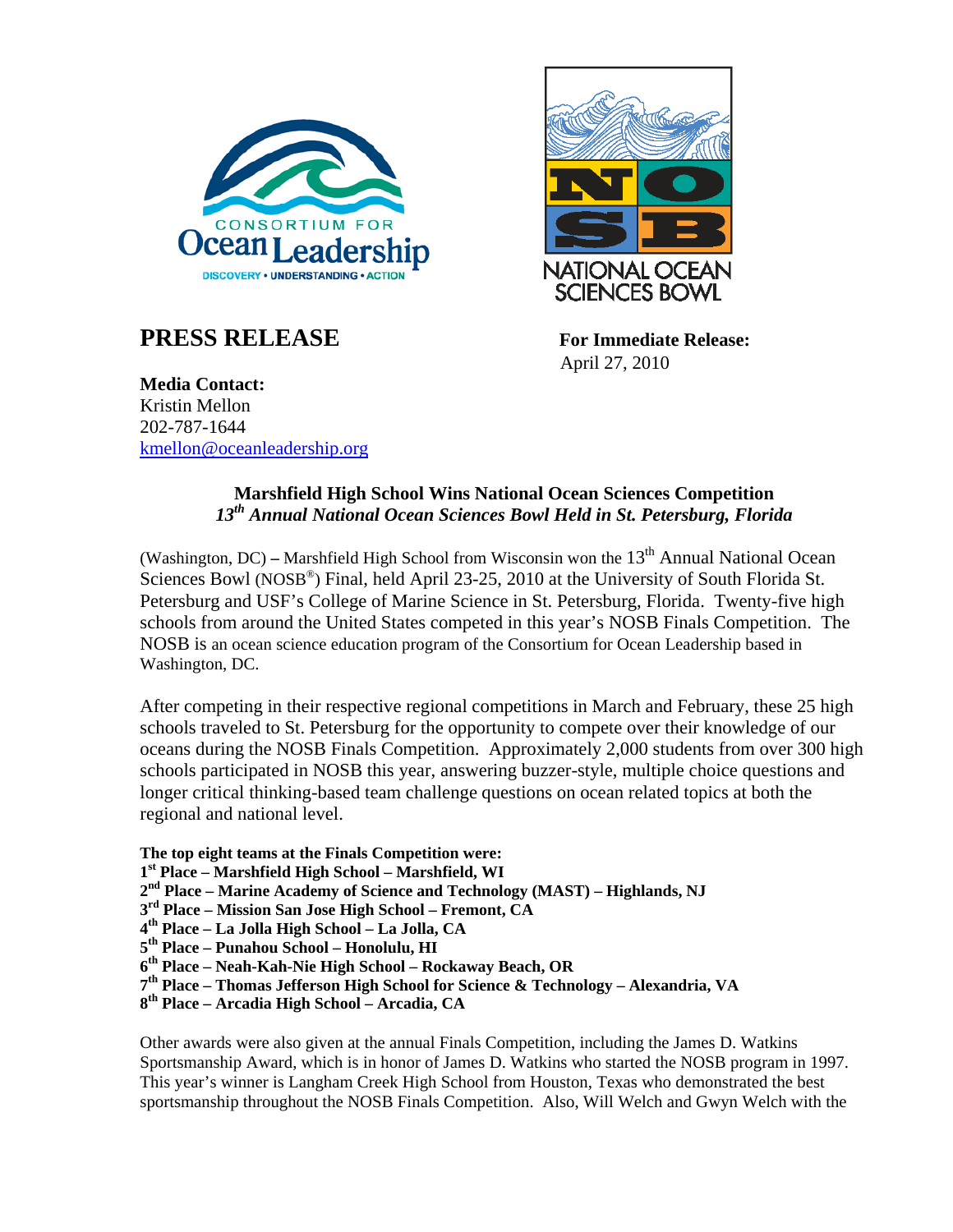

## **PRESS RELEASE** For Immediate Release:



April 27, 2010

**Media Contact:**  Kristin Mellon 202-787-1644 [kmellon@oceanleadership.org](mailto:gschmidt@oceanleadership.org)

## **Marshfield High School Wins National Ocean Sciences Competition**  *13th Annual National Ocean Sciences Bowl Held in St. Petersburg, Florida*

(Washington, DC) – Marshfield High School from Wisconsin won the 13<sup>th</sup> Annual National Ocean Sciences Bowl (NOSB<sup>®</sup>) Final, held April 23-25, 2010 at the University of South Florida St. Petersburg and USF's College of Marine Science in St. Petersburg, Florida. Twenty-five high schools from around the United States competed in this year's NOSB Finals Competition. The NOSB is an ocean science education program of the Consortium for Ocean Leadership based in Washington, DC.

After competing in their respective regional competitions in March and February, these 25 high schools traveled to St. Petersburg for the opportunity to compete over their knowledge of our oceans during the NOSB Finals Competition. Approximately 2,000 students from over 300 high schools participated in NOSB this year, answering buzzer-style, multiple choice questions and longer critical thinking-based team challenge questions on ocean related topics at both the regional and national level.

**The top eight teams at the Finals Competition were:** 

- **1st Place Marshfield High School Marshfield, WI**
- **2nd Place Marine Academy of Science and Technology (MAST) Highlands, NJ**
- **3rd Place Mission San Jose High School Fremont, CA**
- **4th Place La Jolla High School La Jolla, CA**
- **5th Place Punahou School Honolulu, HI**
- **6th Place Neah-Kah-Nie High School Rockaway Beach, OR**
- **7th Place Thomas Jefferson High School for Science & Technology Alexandria, VA**
- **8th Place Arcadia High School Arcadia, CA**

Other awards were also given at the annual Finals Competition, including the James D. Watkins Sportsmanship Award, which is in honor of James D. Watkins who started the NOSB program in 1997. This year's winner is Langham Creek High School from Houston, Texas who demonstrated the best sportsmanship throughout the NOSB Finals Competition. Also, Will Welch and Gwyn Welch with the